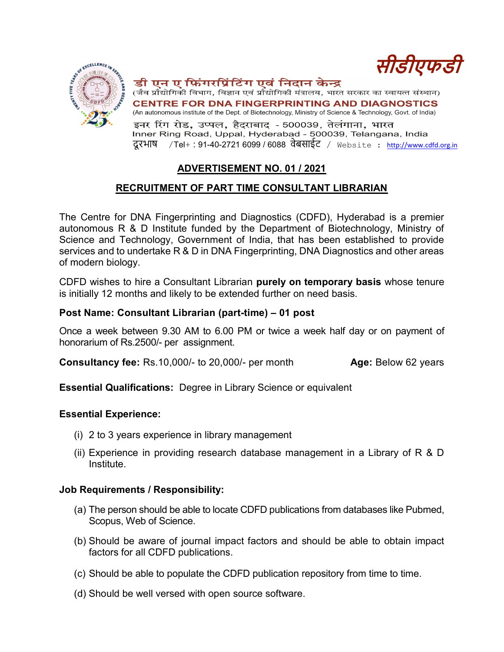

### डी एन ए फ़िंगरप्रिंटिंग एवं निदान केन्द्र



(जैव प्रौद्योगिकी विभाग, विज्ञान एवं प्रौद्योगिकी मंत्रालय, भारत सरकार का स्वायत्त संस्थान) **CENTRE FOR DNA FINGERPRINTING AND DIAGNOSTICS** (An autonomous institute of the Dept. of Biotechnology, Ministry of Science & Technology, Govt. of India)

इनर रिंग रोड, उप्पल, हैदराबाद - 500039, तेलंगाना, भारत Inner Ring Road, Uppal, Hyderabad - 500039, Telangana, India दू रभाष /Tel+ : 91-40-2721 6099 / 6088 वेबसाईट / Website : http://www.cdfd.org.in

# ADVERTISEMENT NO. 01 / 2021

## RECRUITMENT OF PART TIME CONSULTANT LIBRARIAN

The Centre for DNA Fingerprinting and Diagnostics (CDFD), Hyderabad is a premier autonomous R & D Institute funded by the Department of Biotechnology, Ministry of Science and Technology, Government of India, that has been established to provide services and to undertake R & D in DNA Fingerprinting, DNA Diagnostics and other areas of modern biology.

CDFD wishes to hire a Consultant Librarian purely on temporary basis whose tenure is initially 12 months and likely to be extended further on need basis.

#### Post Name: Consultant Librarian (part-time) – 01 post

Once a week between 9.30 AM to 6.00 PM or twice a week half day or on payment of honorarium of Rs.2500/- per assignment.

**Consultancy fee:** Rs.10,000/- to 20,000/- per month **Age:** Below 62 years

Essential Qualifications: Degree in Library Science or equivalent

#### Essential Experience:

- (i) 2 to 3 years experience in library management
- (ii) Experience in providing research database management in a Library of R & D Institute.

#### Job Requirements / Responsibility:

- (a) The person should be able to locate CDFD publications from databases like Pubmed, Scopus, Web of Science.
- (b) Should be aware of journal impact factors and should be able to obtain impact factors for all CDFD publications.
- (c) Should be able to populate the CDFD publication repository from time to time.
- (d) Should be well versed with open source software.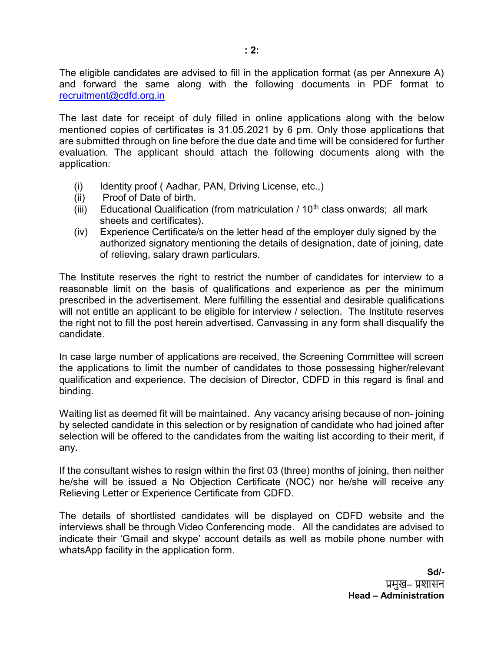The eligible candidates are advised to fill in the application format (as per Annexure A) and forward the same along with the following documents in PDF format to recruitment@cdfd.org.in

The last date for receipt of duly filled in online applications along with the below mentioned copies of certificates is 31.05.2021 by 6 pm. Only those applications that are submitted through on line before the due date and time will be considered for further evaluation. The applicant should attach the following documents along with the application:

- (i) Identity proof ( Aadhar, PAN, Driving License, etc.,)
- (ii) Proof of Date of birth.
- (iii) Educational Qualification (from matriculation  $/10<sup>th</sup>$  class onwards; all mark sheets and certificates).
- (iv) Experience Certificate/s on the letter head of the employer duly signed by the authorized signatory mentioning the details of designation, date of joining, date of relieving, salary drawn particulars.

The Institute reserves the right to restrict the number of candidates for interview to a reasonable limit on the basis of qualifications and experience as per the minimum prescribed in the advertisement. Mere fulfilling the essential and desirable qualifications will not entitle an applicant to be eligible for interview / selection. The Institute reserves the right not to fill the post herein advertised. Canvassing in any form shall disqualify the candidate.

In case large number of applications are received, the Screening Committee will screen the applications to limit the number of candidates to those possessing higher/relevant qualification and experience. The decision of Director, CDFD in this regard is final and binding.

Waiting list as deemed fit will be maintained. Any vacancy arising because of non- joining by selected candidate in this selection or by resignation of candidate who had joined after selection will be offered to the candidates from the waiting list according to their merit, if any.

If the consultant wishes to resign within the first 03 (three) months of joining, then neither he/she will be issued a No Objection Certificate (NOC) nor he/she will receive any Relieving Letter or Experience Certificate from CDFD.

The details of shortlisted candidates will be displayed on CDFD website and the interviews shall be through Video Conferencing mode. All the candidates are advised to indicate their 'Gmail and skype' account details as well as mobile phone number with whatsApp facility in the application form.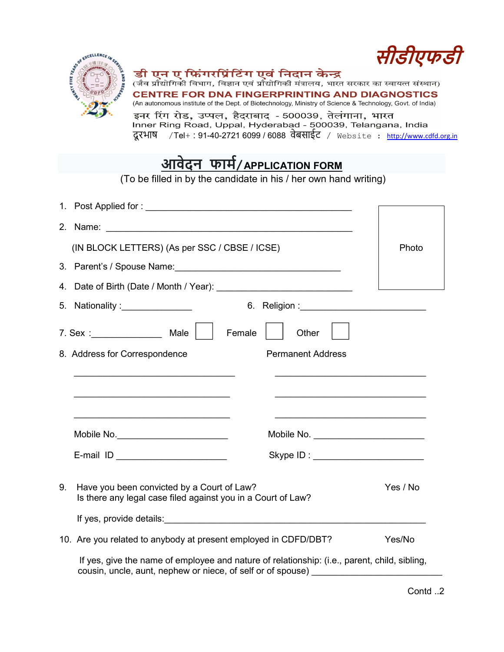

#### डी एन ए फ़िंगरप्रिंटिंग एवं निदान केन्द्र

सीडीएफडी

(जैव प्रौद्योगिकी विभाग, विज्ञान एवं प्रौद्योगिकी मंत्रालय, भारत सरकार का स्वायत्त संस्थान) **CENTRE FOR DNA FINGERPRINTING AND DIAGNOSTICS** (An autonomous institute of the Dept. of Biotechnology, Ministry of Science & Technology, Govt. of India) इनर रिंग रोड, उप्पल, हैदराबाद - 500039, तेलंगाना, भारत

Triner Ring Road, Uppal, Hyderabad - 500039, Telangana, India<br>दूरभाष /Tel+ : 91-40-2721 6099 / 6088 वेबसाईट / website : http://www.cdfd.org.in

# <u>आवेदन फार्म/APPLICATION FORM</u>

(To be filled in by the candidate in his / her own hand writing)

|    | (IN BLOCK LETTERS) (As per SSC / CBSE / ICSE)                                                                                                               |                                        | Photo    |
|----|-------------------------------------------------------------------------------------------------------------------------------------------------------------|----------------------------------------|----------|
|    |                                                                                                                                                             |                                        |          |
|    |                                                                                                                                                             |                                        |          |
|    | 5. Nationality : ________________                                                                                                                           |                                        |          |
|    | Female                                                                                                                                                      | Other                                  |          |
|    | 8. Address for Correspondence                                                                                                                               | <b>Permanent Address</b>               |          |
|    | <u> 1989 - Johann Stoff, Amerikaansk politiker (* 1908)</u>                                                                                                 |                                        |          |
|    | Mobile No. __________________________                                                                                                                       | Mobile No. ___________________________ |          |
|    | E-mail ID ________________________                                                                                                                          | Skype ID : _______________________     |          |
| 9. | Have you been convicted by a Court of Law?<br>Is there any legal case filed against you in a Court of Law?                                                  |                                        | Yes / No |
|    |                                                                                                                                                             |                                        |          |
|    | 10. Are you related to anybody at present employed in CDFD/DBT?                                                                                             |                                        | Yes/No   |
|    | If yes, give the name of employee and nature of relationship: (i.e., parent, child, sibling,<br>cousin, uncle, aunt, nephew or niece, of self or of spouse) |                                        |          |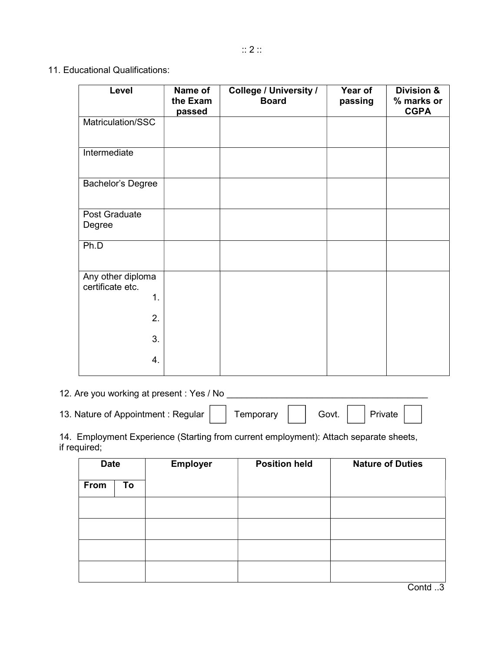11. Educational Qualifications:

| Level                                       | Name of<br>the Exam<br>passed | <b>College / University /</b><br><b>Board</b> | Year of<br>passing | <b>Division &amp;</b><br>% marks or<br><b>CGPA</b> |
|---------------------------------------------|-------------------------------|-----------------------------------------------|--------------------|----------------------------------------------------|
| Matriculation/SSC                           |                               |                                               |                    |                                                    |
| Intermediate                                |                               |                                               |                    |                                                    |
| Bachelor's Degree                           |                               |                                               |                    |                                                    |
| Post Graduate<br>Degree                     |                               |                                               |                    |                                                    |
| Ph.D                                        |                               |                                               |                    |                                                    |
| Any other diploma<br>certificate etc.<br>1. |                               |                                               |                    |                                                    |
| 2.                                          |                               |                                               |                    |                                                    |
| 3.                                          |                               |                                               |                    |                                                    |
| 4.                                          |                               |                                               |                    |                                                    |

12. Are you working at present : Yes / No

13. Nature of Appointment : Regular | | Temporary | | Govt. | | Private

14. Employment Experience (Starting from current employment): Attach separate sheets, if required;

| <b>Date</b> |    | <b>Employer</b> | <b>Position held</b> | <b>Nature of Duties</b> |
|-------------|----|-----------------|----------------------|-------------------------|
| From        | To |                 |                      |                         |
|             |    |                 |                      |                         |
|             |    |                 |                      |                         |
|             |    |                 |                      |                         |
|             |    |                 |                      |                         |

Contd ..3